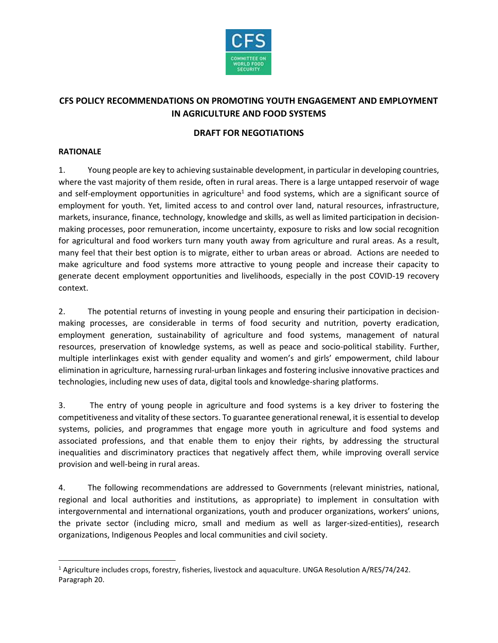

# **CFS POLICY RECOMMENDATIONS ON PROMOTING YOUTH ENGAGEMENT AND EMPLOYMENT IN AGRICULTURE AND FOOD SYSTEMS**

#### **DRAFT FOR NEGOTIATIONS**

#### **RATIONALE**

 $\overline{\phantom{a}}$ 

1. Young people are key to achieving sustainable development, in particular in developing countries, where the vast majority of them reside, often in rural areas. There is a large untapped reservoir of wage and self-employment opportunities in agriculture<sup>1</sup> and food systems, which are a significant source of employment for youth. Yet, limited access to and control over land, natural resources, infrastructure, markets, insurance, finance, technology, knowledge and skills, as well as limited participation in decisionmaking processes, poor remuneration, income uncertainty, exposure to risks and low social recognition for agricultural and food workers turn many youth away from agriculture and rural areas. As a result, many feel that their best option is to migrate, either to urban areas or abroad. Actions are needed to make agriculture and food systems more attractive to young people and increase their capacity to generate decent employment opportunities and livelihoods, especially in the post COVID-19 recovery context.

2. The potential returns of investing in young people and ensuring their participation in decisionmaking processes, are considerable in terms of food security and nutrition, poverty eradication, employment generation, sustainability of agriculture and food systems, management of natural resources, preservation of knowledge systems, as well as peace and socio-political stability. Further, multiple interlinkages exist with gender equality and women's and girls' empowerment, child labour elimination in agriculture, harnessing rural-urban linkages and fostering inclusive innovative practices and technologies, including new uses of data, digital tools and knowledge-sharing platforms.

3. The entry of young people in agriculture and food systems is a key driver to fostering the competitiveness and vitality of these sectors. To guarantee generational renewal, it is essential to develop systems, policies, and programmes that engage more youth in agriculture and food systems and associated professions, and that enable them to enjoy their rights, by addressing the structural inequalities and discriminatory practices that negatively affect them, while improving overall service provision and well-being in rural areas.

4. The following recommendations are addressed to Governments (relevant ministries, national, regional and local authorities and institutions, as appropriate) to implement in consultation with intergovernmental and international organizations, youth and producer organizations, workers' unions, the private sector (including micro, small and medium as well as larger-sized-entities), research organizations, Indigenous Peoples and local communities and civil society.

<sup>1</sup> Agriculture includes crops, forestry, fisheries, livestock and aquaculture. UNGA Resolution A/RES/74/242. Paragraph 20.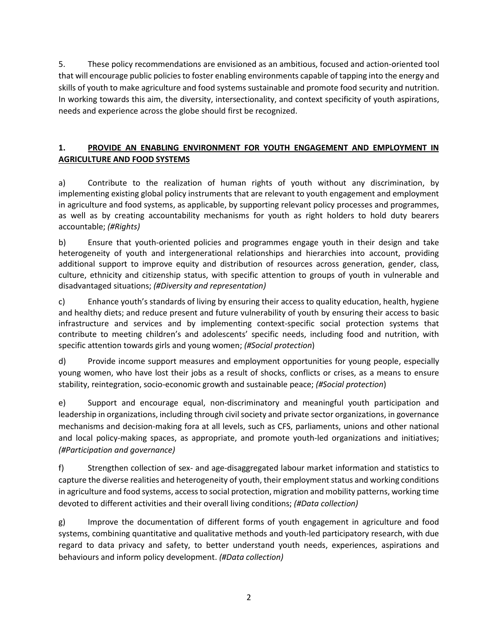5. These policy recommendations are envisioned as an ambitious, focused and action-oriented tool that will encourage public policies to foster enabling environments capable of tapping into the energy and skills of youth to make agriculture and food systems sustainable and promote food security and nutrition. In working towards this aim, the diversity, intersectionality, and context specificity of youth aspirations, needs and experience across the globe should first be recognized.

## **1. PROVIDE AN ENABLING ENVIRONMENT FOR YOUTH ENGAGEMENT AND EMPLOYMENT IN AGRICULTURE AND FOOD SYSTEMS**

a) Contribute to the realization of human rights of youth without any discrimination, by implementing existing global policy instruments that are relevant to youth engagement and employment in agriculture and food systems, as applicable, by supporting relevant policy processes and programmes, as well as by creating accountability mechanisms for youth as right holders to hold duty bearers accountable; *(#Rights)*

b) Ensure that youth-oriented policies and programmes engage youth in their design and take heterogeneity of youth and intergenerational relationships and hierarchies into account, providing additional support to improve equity and distribution of resources across generation, gender, class, culture, ethnicity and citizenship status, with specific attention to groups of youth in vulnerable and disadvantaged situations; *(#Diversity and representation)*

c) Enhance youth's standards of living by ensuring their access to quality education, health, hygiene and healthy diets; and reduce present and future vulnerability of youth by ensuring their access to basic infrastructure and services and by implementing context-specific social protection systems that contribute to meeting children's and adolescents' specific needs, including food and nutrition, with specific attention towards girls and young women; *(#Social protection*)

d) Provide income support measures and employment opportunities for young people, especially young women, who have lost their jobs as a result of shocks, conflicts or crises, as a means to ensure stability, reintegration, socio-economic growth and sustainable peace; *(#Social protection*)

e) Support and encourage equal, non-discriminatory and meaningful youth participation and leadership in organizations, including through civil society and private sector organizations, in governance mechanisms and decision-making fora at all levels, such as CFS, parliaments, unions and other national and local policy-making spaces, as appropriate, and promote youth-led organizations and initiatives; *(#Participation and governance)*

f) Strengthen collection of sex- and age-disaggregated labour market information and statistics to capture the diverse realities and heterogeneity of youth, their employment status and working conditions in agriculture and food systems, access to social protection, migration and mobility patterns, working time devoted to different activities and their overall living conditions; *(#Data collection)*

g) Improve the documentation of different forms of youth engagement in agriculture and food systems, combining quantitative and qualitative methods and youth-led participatory research, with due regard to data privacy and safety, to better understand youth needs, experiences, aspirations and behaviours and inform policy development. *(#Data collection)*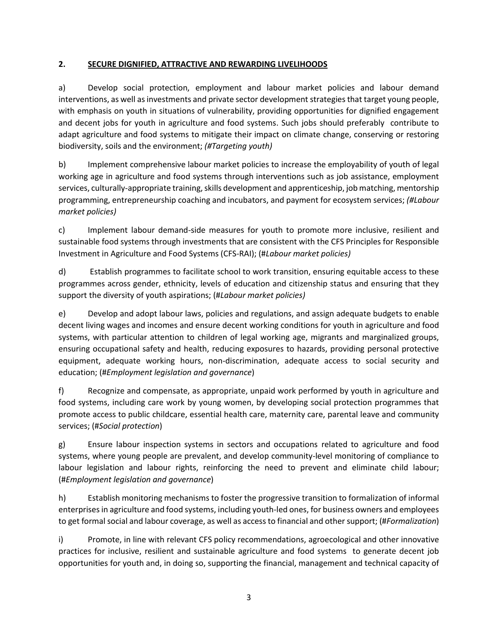### **2. SECURE DIGNIFIED, ATTRACTIVE AND REWARDING LIVELIHOODS**

a) Develop social protection, employment and labour market policies and labour demand interventions, as well as investments and private sector development strategiesthat target young people, with emphasis on youth in situations of vulnerability, providing opportunities for dignified engagement and decent jobs for youth in agriculture and food systems. Such jobs should preferably contribute to adapt agriculture and food systems to mitigate their impact on climate change, conserving or restoring biodiversity, soils and the environment; *(#Targeting youth)*

b) Implement comprehensive labour market policies to increase the employability of youth of legal working age in agriculture and food systems through interventions such as job assistance, employment services, culturally-appropriate training, skills development and apprenticeship, job matching, mentorship programming, entrepreneurship coaching and incubators, and payment for ecosystem services; *(#Labour market policies)*

c) Implement labour demand-side measures for youth to promote more inclusive, resilient and sustainable food systems through investments that are consistent with the CFS Principles for Responsible Investment in Agriculture and Food Systems (CFS-RAI); (#*Labour market policies)*

d) Establish programmes to facilitate school to work transition, ensuring equitable access to these programmes across gender, ethnicity, levels of education and citizenship status and ensuring that they support the diversity of youth aspirations; (#*Labour market policies)*

e) Develop and adopt labour laws, policies and regulations, and assign adequate budgets to enable decent living wages and incomes and ensure decent working conditions for youth in agriculture and food systems, with particular attention to children of legal working age, migrants and marginalized groups, ensuring occupational safety and health, reducing exposures to hazards, providing personal protective equipment, adequate working hours, non-discrimination, adequate access to social security and education; (#*Employment legislation and governance*)

f) Recognize and compensate, as appropriate, unpaid work performed by youth in agriculture and food systems, including care work by young women, by developing social protection programmes that promote access to public childcare, essential health care, maternity care, parental leave and community services; (#*Social protection*)

g) Ensure labour inspection systems in sectors and occupations related to agriculture and food systems, where young people are prevalent, and develop community-level monitoring of compliance to labour legislation and labour rights, reinforcing the need to prevent and eliminate child labour; (#*Employment legislation and governance*)

h) Establish monitoring mechanisms to foster the progressive transition to formalization of informal enterprises in agriculture and food systems, including youth-led ones, for business owners and employees to get formal social and labour coverage, as well as access to financial and other support; (#*Formalization*)

i) Promote, in line with relevant CFS policy recommendations, agroecological and other innovative practices for inclusive, resilient and sustainable agriculture and food systems to generate decent job opportunities for youth and, in doing so, supporting the financial, management and technical capacity of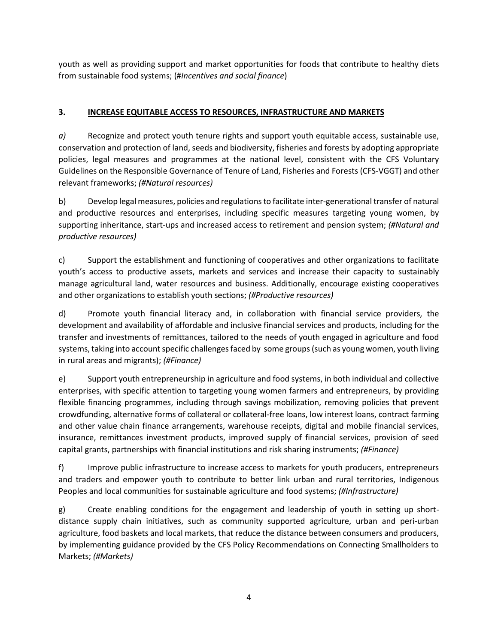youth as well as providing support and market opportunities for foods that contribute to healthy diets from sustainable food systems; (#*Incentives and social finance*)

### **3. INCREASE EQUITABLE ACCESS TO RESOURCES, INFRASTRUCTURE AND MARKETS**

*a)* Recognize and protect youth tenure rights and support youth equitable access, sustainable use, conservation and protection of land, seeds and biodiversity, fisheries and forests by adopting appropriate policies, legal measures and programmes at the national level, consistent with the CFS Voluntary Guidelines on the Responsible Governance of Tenure of Land, Fisheries and Forests (CFS-VGGT) and other relevant frameworks; *(#Natural resources)*

b) Develop legal measures, policies and regulations to facilitate inter-generational transfer of natural and productive resources and enterprises, including specific measures targeting young women, by supporting inheritance, start-ups and increased access to retirement and pension system; *(#Natural and productive resources)*

c) Support the establishment and functioning of cooperatives and other organizations to facilitate youth's access to productive assets, markets and services and increase their capacity to sustainably manage agricultural land, water resources and business. Additionally, encourage existing cooperatives and other organizations to establish youth sections; *(#Productive resources)*

d) Promote youth financial literacy and, in collaboration with financial service providers, the development and availability of affordable and inclusive financial services and products, including for the transfer and investments of remittances, tailored to the needs of youth engaged in agriculture and food systems, taking into account specific challenges faced by some groups (such as young women, youth living in rural areas and migrants); *(#Finance)*

e) Support youth entrepreneurship in agriculture and food systems, in both individual and collective enterprises, with specific attention to targeting young women farmers and entrepreneurs, by providing flexible financing programmes, including through savings mobilization, removing policies that prevent crowdfunding, alternative forms of collateral or collateral-free loans, low interest loans, contract farming and other value chain finance arrangements, warehouse receipts, digital and mobile financial services, insurance, remittances investment products, improved supply of financial services, provision of seed capital grants, partnerships with financial institutions and risk sharing instruments; *(#Finance)*

f) Improve public infrastructure to increase access to markets for youth producers, entrepreneurs and traders and empower youth to contribute to better link urban and rural territories, Indigenous Peoples and local communities for sustainable agriculture and food systems; *(#Infrastructure)*

g) Create enabling conditions for the engagement and leadership of youth in setting up shortdistance supply chain initiatives, such as community supported agriculture, urban and peri-urban agriculture, food baskets and local markets, that reduce the distance between consumers and producers, by implementing guidance provided by the CFS Policy Recommendations on Connecting Smallholders to Markets; *(#Markets)*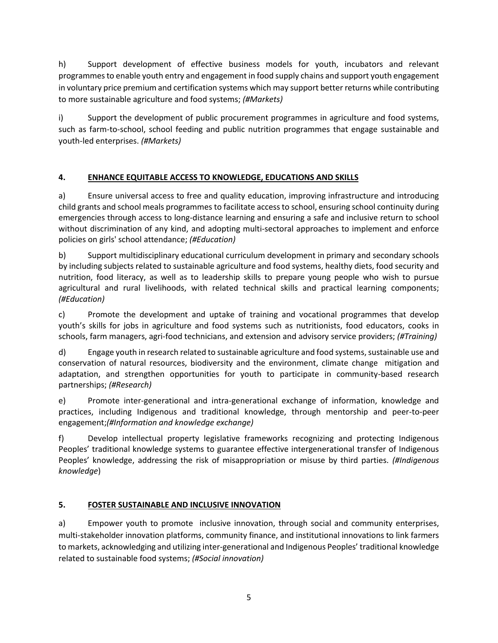h) Support development of effective business models for youth, incubators and relevant programmes to enable youth entry and engagement in food supply chains and support youth engagement in voluntary price premium and certification systems which may support better returns while contributing to more sustainable agriculture and food systems; *(#Markets)*

i) Support the development of public procurement programmes in agriculture and food systems, such as farm-to-school, school feeding and public nutrition programmes that engage sustainable and youth-led enterprises. *(#Markets)*

# **4. ENHANCE EQUITABLE ACCESS TO KNOWLEDGE, EDUCATIONS AND SKILLS**

a) Ensure universal access to free and quality education, improving infrastructure and introducing child grants and school meals programmes to facilitate access to school, ensuring school continuity during emergencies through access to long-distance learning and ensuring a safe and inclusive return to school without discrimination of any kind, and adopting multi-sectoral approaches to implement and enforce policies on girls' school attendance; *(#Education)*

b) Support multidisciplinary educational curriculum development in primary and secondary schools by including subjects related to sustainable agriculture and food systems, healthy diets, food security and nutrition, food literacy, as well as to leadership skills to prepare young people who wish to pursue agricultural and rural livelihoods, with related technical skills and practical learning components; *(#Education)*

c) Promote the development and uptake of training and vocational programmes that develop youth's skills for jobs in agriculture and food systems such as nutritionists, food educators, cooks in schools, farm managers, agri-food technicians, and extension and advisory service providers; *(#Training)*

d) Engage youth in research related to sustainable agriculture and food systems,sustainable use and conservation of natural resources, biodiversity and the environment, climate change mitigation and adaptation, and strengthen opportunities for youth to participate in community-based research partnerships; *(#Research)*

e) Promote inter-generational and intra-generational exchange of information, knowledge and practices, including Indigenous and traditional knowledge, through mentorship and peer-to-peer engagement;*(#Information and knowledge exchange)*

f) Develop intellectual property legislative frameworks recognizing and protecting Indigenous Peoples' traditional knowledge systems to guarantee effective intergenerational transfer of Indigenous Peoples' knowledge, addressing the risk of misappropriation or misuse by third parties. *(#Indigenous knowledge*)

## **5. FOSTER SUSTAINABLE AND INCLUSIVE INNOVATION**

a) Empower youth to promote inclusive innovation, through social and community enterprises, multi-stakeholder innovation platforms, community finance, and institutional innovations to link farmers to markets, acknowledging and utilizing inter-generational and Indigenous Peoples' traditional knowledge related to sustainable food systems; *(#Social innovation)*